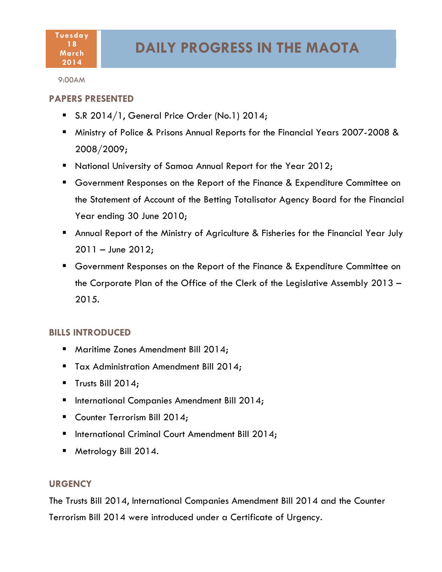#### **Tuesday 18 March 2014**

9:00AM

# **PAPERS PRESENTED**

- S.R 2014/1, General Price Order (No.1) 2014;
- Ministry of Police & Prisons Annual Reports for the Financial Years 2007-2008 & 2008/2009;
- **National University of Samoa Annual Report for the Year 2012;**
- Government Responses on the Report of the Finance & Expenditure Committee on the Statement of Account of the Betting Totalisator Agency Board for the Financial Year ending 30 June 2010;
- Annual Report of the Ministry of Agriculture & Fisheries for the Financial Year July 2011 – June 2012;
- Government Responses on the Report of the Finance & Expenditure Committee on the Corporate Plan of the Office of the Clerk of the Legislative Assembly 2013 – 2015.

# **BILLS INTRODUCED**

- **Maritime Zones Amendment Bill 2014;**
- Tax Administration Amendment Bill 2014;
- Trusts Bill  $2014$ ;
- **International Companies Amendment Bill 2014;**
- Counter Terrorism Bill 2014;
- **International Criminal Court Amendment Bill 2014;**
- Metrology Bill 2014.

# **URGENCY**

The Trusts Bill 2014, International Companies Amendment Bill 2014 and the Counter Terrorism Bill 2014 were introduced under a Certificate of Urgency.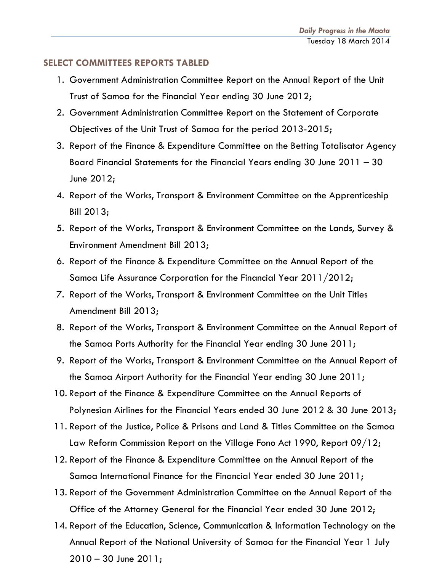## **SELECT COMMITTEES REPORTS TABLED**

- 1. Government Administration Committee Report on the Annual Report of the Unit Trust of Samoa for the Financial Year ending 30 June 2012;
- 2. Government Administration Committee Report on the Statement of Corporate Objectives of the Unit Trust of Samoa for the period 2013-2015;
- 3. Report of the Finance & Expenditure Committee on the Betting Totalisator Agency Board Financial Statements for the Financial Years ending 30 June 2011 – 30 June 2012;
- 4. Report of the Works, Transport & Environment Committee on the Apprenticeship Bill 2013;
- 5. Report of the Works, Transport & Environment Committee on the Lands, Survey & Environment Amendment Bill 2013;
- 6. Report of the Finance & Expenditure Committee on the Annual Report of the Samoa Life Assurance Corporation for the Financial Year 2011/2012;
- 7. Report of the Works, Transport & Environment Committee on the Unit Titles Amendment Bill 2013;
- 8. Report of the Works, Transport & Environment Committee on the Annual Report of the Samoa Ports Authority for the Financial Year ending 30 June 2011;
- 9. Report of the Works, Transport & Environment Committee on the Annual Report of the Samoa Airport Authority for the Financial Year ending 30 June 2011;
- 10. Report of the Finance & Expenditure Committee on the Annual Reports of Polynesian Airlines for the Financial Years ended 30 June 2012 & 30 June 2013;
- 11. Report of the Justice, Police & Prisons and Land & Titles Committee on the Samoa Law Reform Commission Report on the Village Fono Act 1990, Report 09/12;
- 12. Report of the Finance & Expenditure Committee on the Annual Report of the Samoa International Finance for the Financial Year ended 30 June 2011;
- 13. Report of the Government Administration Committee on the Annual Report of the Office of the Attorney General for the Financial Year ended 30 June 2012;
- 14. Report of the Education, Science, Communication & Information Technology on the Annual Report of the National University of Samoa for the Financial Year 1 July 2010 – 30 June 2011;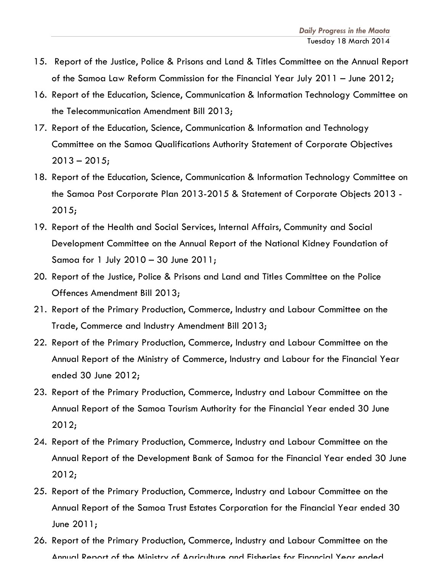- 15. Report of the Justice, Police & Prisons and Land & Titles Committee on the Annual Report of the Samoa Law Reform Commission for the Financial Year July 2011 – June 2012;
- 16. Report of the Education, Science, Communication & Information Technology Committee on the Telecommunication Amendment Bill 2013;
- 17. Report of the Education, Science, Communication & Information and Technology Committee on the Samoa Qualifications Authority Statement of Corporate Objectives  $2013 - 2015$ ;
- 18. Report of the Education, Science, Communication & Information Technology Committee on the Samoa Post Corporate Plan 2013-2015 & Statement of Corporate Objects 2013 - 2015;
- 19. Report of the Health and Social Services, Internal Affairs, Community and Social Development Committee on the Annual Report of the National Kidney Foundation of Samoa for 1 July 2010 – 30 June 2011;
- 20. Report of the Justice, Police & Prisons and Land and Titles Committee on the Police Offences Amendment Bill 2013;
- 21. Report of the Primary Production, Commerce, Industry and Labour Committee on the Trade, Commerce and Industry Amendment Bill 2013;
- 22. Report of the Primary Production, Commerce, Industry and Labour Committee on the Annual Report of the Ministry of Commerce, Industry and Labour for the Financial Year ended 30 June 2012;
- 23. Report of the Primary Production, Commerce, Industry and Labour Committee on the Annual Report of the Samoa Tourism Authority for the Financial Year ended 30 June 2012;
- 24. Report of the Primary Production, Commerce, Industry and Labour Committee on the Annual Report of the Development Bank of Samoa for the Financial Year ended 30 June 2012;
- 25. Report of the Primary Production, Commerce, Industry and Labour Committee on the Annual Report of the Samoa Trust Estates Corporation for the Financial Year ended 30 June 2011;
- 26. Report of the Primary Production, Commerce, Industry and Labour Committee on the Annual Report of the Ministry of Agriculture and Fisheries for Financial Year ended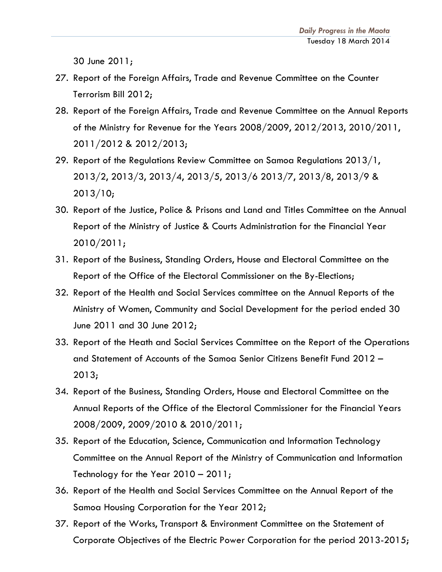30 June 2011;

- 27. Report of the Foreign Affairs, Trade and Revenue Committee on the Counter Terrorism Bill 2012;
- 28. Report of the Foreign Affairs, Trade and Revenue Committee on the Annual Reports of the Ministry for Revenue for the Years 2008/2009, 2012/2013, 2010/2011, 2011/2012 & 2012/2013;
- 29. Report of the Regulations Review Committee on Samoa Regulations 2013/1, 2013/2, 2013/3, 2013/4, 2013/5, 2013/6 2013/7, 2013/8, 2013/9 & 2013/10;
- 30. Report of the Justice, Police & Prisons and Land and Titles Committee on the Annual Report of the Ministry of Justice & Courts Administration for the Financial Year 2010/2011;
- 31. Report of the Business, Standing Orders, House and Electoral Committee on the Report of the Office of the Electoral Commissioner on the By-Elections;
- 32. Report of the Health and Social Services committee on the Annual Reports of the Ministry of Women, Community and Social Development for the period ended 30 June 2011 and 30 June 2012;
- 33. Report of the Heath and Social Services Committee on the Report of the Operations and Statement of Accounts of the Samoa Senior Citizens Benefit Fund 2012 – 2013;
- 34. Report of the Business, Standing Orders, House and Electoral Committee on the Annual Reports of the Office of the Electoral Commissioner for the Financial Years 2008/2009, 2009/2010 & 2010/2011;
- 35. Report of the Education, Science, Communication and Information Technology Committee on the Annual Report of the Ministry of Communication and Information Technology for the Year 2010 – 2011;
- 36. Report of the Health and Social Services Committee on the Annual Report of the Samoa Housing Corporation for the Year 2012;
- 37. Report of the Works, Transport & Environment Committee on the Statement of Corporate Objectives of the Electric Power Corporation for the period 2013-2015;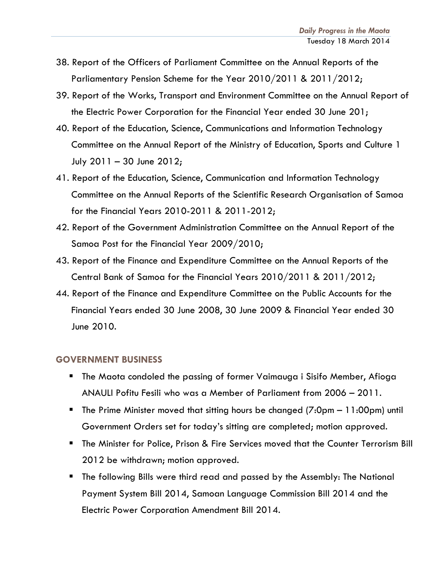- 38. Report of the Officers of Parliament Committee on the Annual Reports of the Parliamentary Pension Scheme for the Year 2010/2011 & 2011/2012;
- 39. Report of the Works, Transport and Environment Committee on the Annual Report of the Electric Power Corporation for the Financial Year ended 30 June 201;
- 40. Report of the Education, Science, Communications and Information Technology Committee on the Annual Report of the Ministry of Education, Sports and Culture 1 July 2011 – 30 June 2012;
- 41. Report of the Education, Science, Communication and Information Technology Committee on the Annual Reports of the Scientific Research Organisation of Samoa for the Financial Years 2010-2011 & 2011-2012;
- 42. Report of the Government Administration Committee on the Annual Report of the Samoa Post for the Financial Year 2009/2010;
- 43. Report of the Finance and Expenditure Committee on the Annual Reports of the Central Bank of Samoa for the Financial Years 2010/2011 & 2011/2012;
- 44. Report of the Finance and Expenditure Committee on the Public Accounts for the Financial Years ended 30 June 2008, 30 June 2009 & Financial Year ended 30 June 2010.

#### **GOVERNMENT BUSINESS**

- The Maota condoled the passing of former Vaimauga i Sisifo Member, Afioga ANAULI Pofitu Fesili who was a Member of Parliament from 2006 – 2011.
- The Prime Minister moved that sitting hours be changed (7:0pm 11:00pm) until Government Orders set for today's sitting are completed; motion approved.
- The Minister for Police, Prison & Fire Services moved that the Counter Terrorism Bill 2012 be withdrawn; motion approved.
- The following Bills were third read and passed by the Assembly: The National Payment System Bill 2014, Samoan Language Commission Bill 2014 and the Electric Power Corporation Amendment Bill 2014.